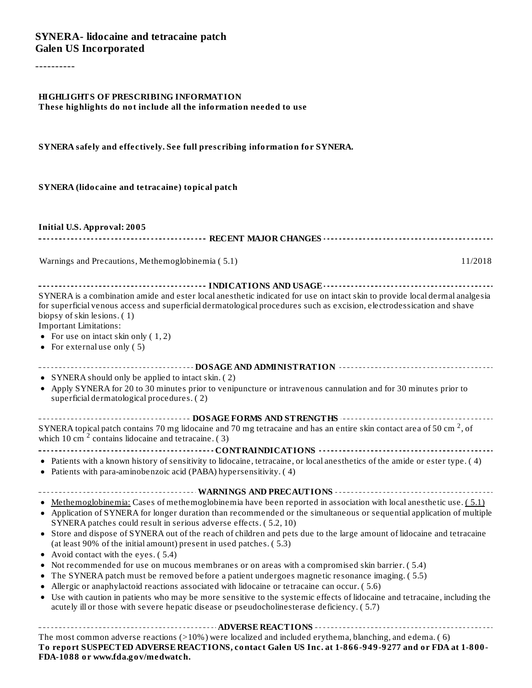----------

#### **HIGHLIGHTS OF PRESCRIBING INFORMATION These highlights do not include all the information needed to use**

**SYNERA safely and effectively. See full prescribing information for SYNERA.**

#### **SYNERA (lidocaine and tetracaine) topical patch**

**Initial U.S. Approval: 2005**

**RECENT MAJOR CHANGES**

Warnings and Precautions, Methemoglobinemia (5.1) 11/2018

| SYNERA is a combination amide and ester local anesthetic indicated for use on intact skin to provide local dermal analgesia<br>for superficial venous access and superficial dermatological procedures such as excision, electrodessication and shave |
|-------------------------------------------------------------------------------------------------------------------------------------------------------------------------------------------------------------------------------------------------------|
| biopsy of skin lesions. (1)                                                                                                                                                                                                                           |
| <b>Important Limitations:</b>                                                                                                                                                                                                                         |
| • For use on intact skin only $(1, 2)$                                                                                                                                                                                                                |
| • For external use only $(5)$                                                                                                                                                                                                                         |
|                                                                                                                                                                                                                                                       |
| • SYNERA should only be applied to intact skin. (2)                                                                                                                                                                                                   |
| • Apply SYNERA for 20 to 30 minutes prior to venipuncture or intravenous cannulation and for 30 minutes prior to<br>superficial dermatological procedures. (2)                                                                                        |
| ------------------------------------ DOSAGE FORMS AND STRENGTHS --------------------------------                                                                                                                                                      |
| SYNERA topical patch contains 70 mg lidocaine and 70 mg tetracaine and has an entire skin contact area of 50 cm <sup>2</sup> , of<br>which 10 cm $2$ contains lidocaine and tetracaine. (3)                                                           |
|                                                                                                                                                                                                                                                       |
| • Patients with a known history of sensitivity to lidocaine, tetracaine, or local anesthetics of the amide or ester type. (4)<br>• Patients with para-aminobenzoic acid (PABA) hypersensitivity. (4)                                                  |
|                                                                                                                                                                                                                                                       |
| • Methemoglobinemia: Cases of methemoglobinemia have been reported in association with local anesthetic use. (5.1)                                                                                                                                    |
| • Application of SYNERA for longer duration than recommended or the simultaneous or sequential application of multiple<br>SYNERA patches could result in serious adverse effects. (5.2, 10)                                                           |
| • Store and dispose of SYNERA out of the reach of children and pets due to the large amount of lidocaine and tetracaine<br>(at least 90% of the initial amount) present in used patches. (5.3)                                                        |
| • Avoid contact with the eyes. (5.4)                                                                                                                                                                                                                  |
| Not recommended for use on mucous membranes or on areas with a compromised skin barrier. (5.4)                                                                                                                                                        |
| The SYNERA patch must be removed before a patient undergoes magnetic resonance imaging. (5.5)<br>٠                                                                                                                                                    |
| Allergic or anaphylactoid reactions associated with lidocaine or tetracaine can occur. (5.6)<br>$\bullet$                                                                                                                                             |
| • Use with caution in patients who may be more sensitive to the systemic effects of lidocaine and tetracaine, including the<br>acutely ill or those with severe hepatic disease or pseudocholinesterase deficiency. (5.7)                             |
|                                                                                                                                                                                                                                                       |
| The most common adverse reactions $(>10\%)$ were localized and included erythema, blanching, and edema. (6)                                                                                                                                           |

**To report SUSPECTED ADVERSE REACTIONS, contact Galen US Inc. at 1-866-949-9277 and or FDA at 1-800- FDA-1088 or www.fda.gov/medwatch.**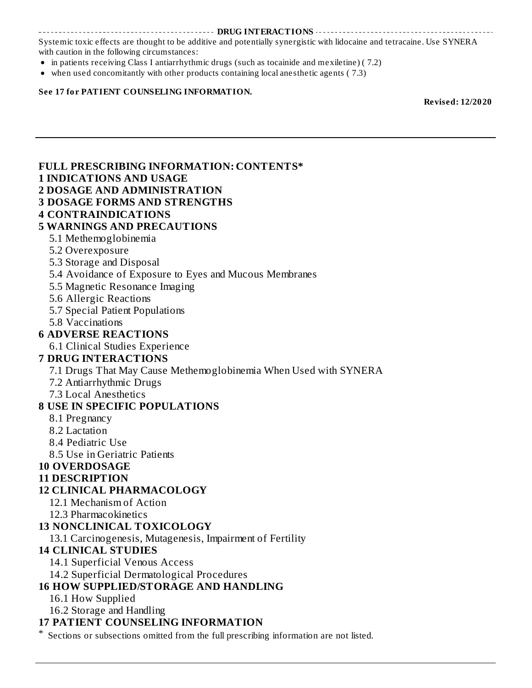#### **DRUG INTERACTIONS**

Systemic toxic effects are thought to be additive and potentially synergistic with lidocaine and tetracaine. Use SYNERA with caution in the following circumstances:

- in patients receiving Class I antiarrhythmic drugs (such as tocainide and mexiletine) (7.2)
- when used concomitantly with other products containing local anesthetic agents ( 7.3)

#### **See 17 for PATIENT COUNSELING INFORMATION.**

**Revised: 12/2020**

| <b>FULL PRESCRIBING INFORMATION: CONTENTS*</b>                                        |
|---------------------------------------------------------------------------------------|
| <b>1 INDICATIONS AND USAGE</b>                                                        |
| <b>2 DOSAGE AND ADMINISTRATION</b>                                                    |
| <b>3 DOSAGE FORMS AND STRENGTHS</b>                                                   |
| <b>4 CONTRAINDICATIONS</b>                                                            |
| <b>5 WARNINGS AND PRECAUTIONS</b>                                                     |
| 5.1 Methemoglobinemia                                                                 |
| 5.2 Overexposure                                                                      |
| 5.3 Storage and Disposal                                                              |
| 5.4 Avoidance of Exposure to Eyes and Mucous Membranes                                |
| 5.5 Magnetic Resonance Imaging                                                        |
| 5.6 Allergic Reactions                                                                |
| 5.7 Special Patient Populations                                                       |
| 5.8 Vaccinations                                                                      |
| <b>6 ADVERSE REACTIONS</b>                                                            |
| 6.1 Clinical Studies Experience                                                       |
| <b>7 DRUG INTERACTIONS</b>                                                            |
| 7.1 Drugs That May Cause Methemoglobinemia When Used with SYNERA                      |
| 7.2 Antiarrhythmic Drugs                                                              |
| 7.3 Local Anesthetics                                                                 |
| <b>8 USE IN SPECIFIC POPULATIONS</b>                                                  |
| 8.1 Pregnancy                                                                         |
| 8.2 Lactation                                                                         |
| 8.4 Pediatric Use                                                                     |
| 8.5 Use in Geriatric Patients                                                         |
| <b>10 OVERDOSAGE</b>                                                                  |
| <b>11 DESCRIPTION</b>                                                                 |
| <b>12 CLINICAL PHARMACOLOGY</b>                                                       |
| 12.1 Mechanism of Action                                                              |
| 12.3 Pharmacokinetics                                                                 |
| <b>13 NONCLINICAL TOXICOLOGY</b>                                                      |
| 13.1 Carcinogenesis, Mutagenesis, Impairment of Fertility                             |
| <b>14 CLINICAL STUDIES</b>                                                            |
| 14.1 Superficial Venous Access                                                        |
| 14.2 Superficial Dermatological Procedures                                            |
| <b>16 HOW SUPPLIED/STORAGE AND HANDLING</b>                                           |
| 16.1 How Supplied                                                                     |
| 16.2 Storage and Handling                                                             |
| <b>17 PATIENT COUNSELING INFORMATION</b>                                              |
| Sections or subsections omitted from the full prescribing information are not listed. |
|                                                                                       |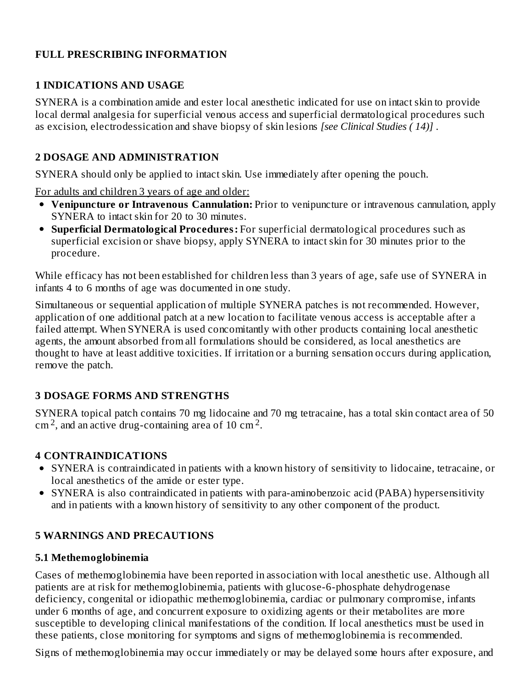#### **FULL PRESCRIBING INFORMATION**

#### **1 INDICATIONS AND USAGE**

SYNERA is a combination amide and ester local anesthetic indicated for use on intact skin to provide local dermal analgesia for superficial venous access and superficial dermatological procedures such as excision, electrodessication and shave biopsy of skin lesions *[see Clinical Studies ( 14)]* .

#### **2 DOSAGE AND ADMINISTRATION**

SYNERA should only be applied to intact skin. Use immediately after opening the pouch.

For adults and children 3 years of age and older:

- **Venipuncture or Intravenous Cannulation:** Prior to venipuncture or intravenous cannulation, apply SYNERA to intact skin for 20 to 30 minutes.
- **Superficial Dermatological Procedures:** For superficial dermatological procedures such as superficial excision or shave biopsy, apply SYNERA to intact skin for 30 minutes prior to the procedure.

While efficacy has not been established for children less than 3 years of age, safe use of SYNERA in infants 4 to 6 months of age was documented in one study.

Simultaneous or sequential application of multiple SYNERA patches is not recommended. However, application of one additional patch at a new location to facilitate venous access is acceptable after a failed attempt. When SYNERA is used concomitantly with other products containing local anesthetic agents, the amount absorbed from all formulations should be considered, as local anesthetics are thought to have at least additive toxicities. If irritation or a burning sensation occurs during application, remove the patch.

### **3 DOSAGE FORMS AND STRENGTHS**

SYNERA topical patch contains 70 mg lidocaine and 70 mg tetracaine, has a total skin contact area of 50  $\text{cm}^2$ , and an active drug-containing area of 10 cm<sup>2</sup>.

### **4 CONTRAINDICATIONS**

- SYNERA is contraindicated in patients with a known history of sensitivity to lidocaine, tetracaine, or local anesthetics of the amide or ester type.
- SYNERA is also contraindicated in patients with para-aminobenzoic acid (PABA) hypersensitivity and in patients with a known history of sensitivity to any other component of the product.

### **5 WARNINGS AND PRECAUTIONS**

#### **5.1 Methemoglobinemia**

Cases of methemoglobinemia have been reported in association with local anesthetic use. Although all patients are at risk for methemoglobinemia, patients with glucose-6-phosphate dehydrogenase deficiency, congenital or idiopathic methemoglobinemia, cardiac or pulmonary compromise, infants under 6 months of age, and concurrent exposure to oxidizing agents or their metabolites are more susceptible to developing clinical manifestations of the condition. If local anesthetics must be used in these patients, close monitoring for symptoms and signs of methemoglobinemia is recommended.

Signs of methemoglobinemia may occur immediately or may be delayed some hours after exposure, and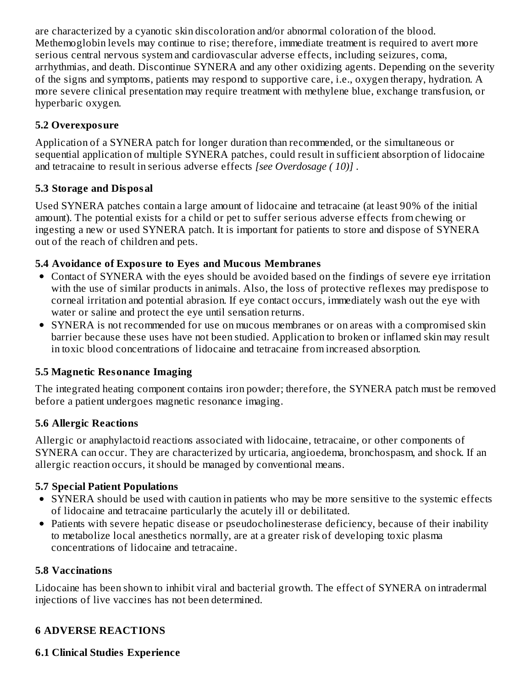are characterized by a cyanotic skin discoloration and/or abnormal coloration of the blood. Methemoglobin levels may continue to rise; therefore, immediate treatment is required to avert more serious central nervous system and cardiovascular adverse effects, including seizures, coma, arrhythmias, and death. Discontinue SYNERA and any other oxidizing agents. Depending on the severity of the signs and symptoms, patients may respond to supportive care, i.e., oxygen therapy, hydration. A more severe clinical presentation may require treatment with methylene blue, exchange transfusion, or hyperbaric oxygen.

### **5.2 Overexposure**

Application of a SYNERA patch for longer duration than recommended, or the simultaneous or sequential application of multiple SYNERA patches, could result in sufficient absorption of lidocaine and tetracaine to result in serious adverse effects *[see Overdosage ( 10)]* .

# **5.3 Storage and Disposal**

Used SYNERA patches contain a large amount of lidocaine and tetracaine (at least 90% of the initial amount). The potential exists for a child or pet to suffer serious adverse effects from chewing or ingesting a new or used SYNERA patch. It is important for patients to store and dispose of SYNERA out of the reach of children and pets.

### **5.4 Avoidance of Exposure to Eyes and Mucous Membranes**

- Contact of SYNERA with the eyes should be avoided based on the findings of severe eye irritation with the use of similar products in animals. Also, the loss of protective reflexes may predispose to corneal irritation and potential abrasion. If eye contact occurs, immediately wash out the eye with water or saline and protect the eye until sensation returns.
- SYNERA is not recommended for use on mucous membranes or on areas with a compromised skin barrier because these uses have not been studied. Application to broken or inflamed skin may result in toxic blood concentrations of lidocaine and tetracaine from increased absorption.

### **5.5 Magnetic Resonance Imaging**

The integrated heating component contains iron powder; therefore, the SYNERA patch must be removed before a patient undergoes magnetic resonance imaging.

### **5.6 Allergic Reactions**

Allergic or anaphylactoid reactions associated with lidocaine, tetracaine, or other components of SYNERA can occur. They are characterized by urticaria, angioedema, bronchospasm, and shock. If an allergic reaction occurs, it should be managed by conventional means.

# **5.7 Special Patient Populations**

- SYNERA should be used with caution in patients who may be more sensitive to the systemic effects of lidocaine and tetracaine particularly the acutely ill or debilitated.
- Patients with severe hepatic disease or pseudocholinesterase deficiency, because of their inability to metabolize local anesthetics normally, are at a greater risk of developing toxic plasma concentrations of lidocaine and tetracaine.

### **5.8 Vaccinations**

Lidocaine has been shown to inhibit viral and bacterial growth. The effect of SYNERA on intradermal injections of live vaccines has not been determined.

# **6 ADVERSE REACTIONS**

### **6.1 Clinical Studies Experience**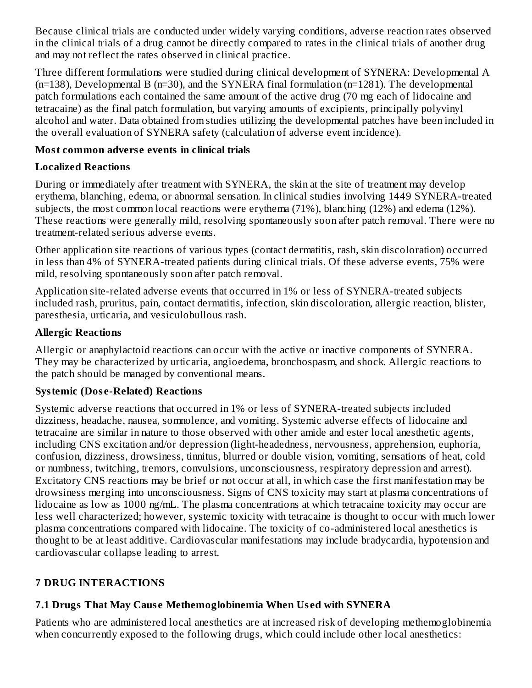Because clinical trials are conducted under widely varying conditions, adverse reaction rates observed in the clinical trials of a drug cannot be directly compared to rates in the clinical trials of another drug and may not reflect the rates observed in clinical practice.

Three different formulations were studied during clinical development of SYNERA: Developmental A (n=138), Developmental B (n=30), and the SYNERA final formulation (n=1281). The developmental patch formulations each contained the same amount of the active drug (70 mg each of lidocaine and tetracaine) as the final patch formulation, but varying amounts of excipients, principally polyvinyl alcohol and water. Data obtained from studies utilizing the developmental patches have been included in the overall evaluation of SYNERA safety (calculation of adverse event incidence).

#### **Most common advers e events in clinical trials**

# **Localized Reactions**

During or immediately after treatment with SYNERA, the skin at the site of treatment may develop erythema, blanching, edema, or abnormal sensation. In clinical studies involving 1449 SYNERA-treated subjects, the most common local reactions were erythema (71%), blanching (12%) and edema (12%). These reactions were generally mild, resolving spontaneously soon after patch removal. There were no treatment-related serious adverse events.

Other application site reactions of various types (contact dermatitis, rash, skin discoloration) occurred in less than 4% of SYNERA-treated patients during clinical trials. Of these adverse events, 75% were mild, resolving spontaneously soon after patch removal.

Application site-related adverse events that occurred in 1% or less of SYNERA-treated subjects included rash, pruritus, pain, contact dermatitis, infection, skin discoloration, allergic reaction, blister, paresthesia, urticaria, and vesiculobullous rash.

# **Allergic Reactions**

Allergic or anaphylactoid reactions can occur with the active or inactive components of SYNERA. They may be characterized by urticaria, angioedema, bronchospasm, and shock. Allergic reactions to the patch should be managed by conventional means.

# **Systemic (Dos e-Related) Reactions**

Systemic adverse reactions that occurred in 1% or less of SYNERA-treated subjects included dizziness, headache, nausea, somnolence, and vomiting. Systemic adverse effects of lidocaine and tetracaine are similar in nature to those observed with other amide and ester local anesthetic agents, including CNS excitation and/or depression (light-headedness, nervousness, apprehension, euphoria, confusion, dizziness, drowsiness, tinnitus, blurred or double vision, vomiting, sensations of heat, cold or numbness, twitching, tremors, convulsions, unconsciousness, respiratory depression and arrest). Excitatory CNS reactions may be brief or not occur at all, in which case the first manifestation may be drowsiness merging into unconsciousness. Signs of CNS toxicity may start at plasma concentrations of lidocaine as low as 1000 ng/mL. The plasma concentrations at which tetracaine toxicity may occur are less well characterized; however, systemic toxicity with tetracaine is thought to occur with much lower plasma concentrations compared with lidocaine. The toxicity of co-administered local anesthetics is thought to be at least additive. Cardiovascular manifestations may include bradycardia, hypotension and cardiovascular collapse leading to arrest.

# **7 DRUG INTERACTIONS**

# **7.1 Drugs That May Caus e Methemoglobinemia When Us ed with SYNERA**

Patients who are administered local anesthetics are at increased risk of developing methemoglobinemia when concurrently exposed to the following drugs, which could include other local anesthetics: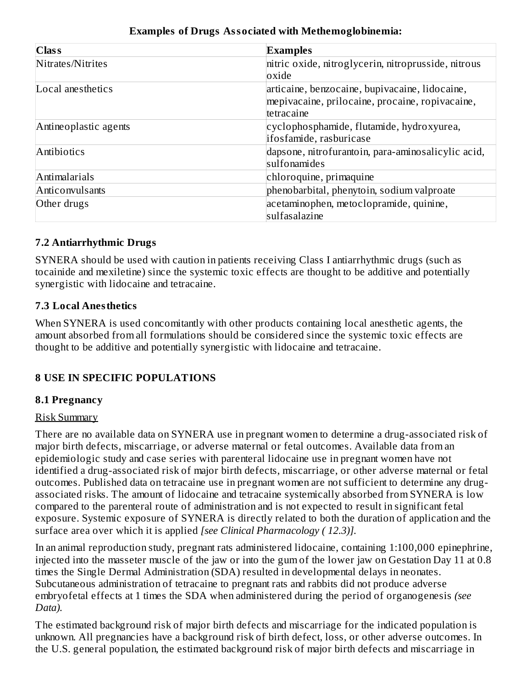| $Cl$ ass              | <b>Examples</b>                                     |
|-----------------------|-----------------------------------------------------|
| Nitrates/Nitrites     | nitric oxide, nitroglycerin, nitroprusside, nitrous |
|                       | oxide                                               |
| Local anesthetics     | articaine, benzocaine, bupivacaine, lidocaine,      |
|                       | mepivacaine, prilocaine, procaine, ropivacaine,     |
|                       | tetracaine                                          |
| Antineoplastic agents | cyclophosphamide, flutamide, hydroxyurea,           |
|                       | ifosfamide, rasburicase                             |
| Antibiotics           | dapsone, nitrofurantoin, para-aminosalicylic acid,  |
|                       | sulfonamides                                        |
| Antimalarials         | chloroquine, primaquine                             |
| Anticonvulsants       | phenobarbital, phenytoin, sodium valproate          |
| Other drugs           | acetaminophen, metoclopramide, quinine,             |
|                       | sulfasalazine                                       |

#### **Examples of Drugs Associated with Methemoglobinemia:**

#### **7.2 Antiarrhythmic Drugs**

SYNERA should be used with caution in patients receiving Class I antiarrhythmic drugs (such as tocainide and mexiletine) since the systemic toxic effects are thought to be additive and potentially synergistic with lidocaine and tetracaine.

#### **7.3 Local Anesthetics**

When SYNERA is used concomitantly with other products containing local anesthetic agents, the amount absorbed from all formulations should be considered since the systemic toxic effects are thought to be additive and potentially synergistic with lidocaine and tetracaine.

#### **8 USE IN SPECIFIC POPULATIONS**

#### **8.1 Pregnancy**

#### Risk Summary

There are no available data on SYNERA use in pregnant women to determine a drug-associated risk of major birth defects, miscarriage, or adverse maternal or fetal outcomes. Available data from an epidemiologic study and case series with parenteral lidocaine use in pregnant women have not identified a drug-associated risk of major birth defects, miscarriage, or other adverse maternal or fetal outcomes. Published data on tetracaine use in pregnant women are not sufficient to determine any drugassociated risks. The amount of lidocaine and tetracaine systemically absorbed from SYNERA is low compared to the parenteral route of administration and is not expected to result in significant fetal exposure. Systemic exposure of SYNERA is directly related to both the duration of application and the surface area over which it is applied *[see Clinical Pharmacology ( 12.3)].*

In an animal reproduction study, pregnant rats administered lidocaine, containing 1:100,000 epinephrine, injected into the masseter muscle of the jaw or into the gum of the lower jaw on Gestation Day 11 at 0.8 times the Single Dermal Administration (SDA) resulted in developmental delays in neonates. Subcutaneous administration of tetracaine to pregnant rats and rabbits did not produce adverse embryofetal effects at 1 times the SDA when administered during the period of organogenesis *(see Data).*

The estimated background risk of major birth defects and miscarriage for the indicated population is unknown. All pregnancies have a background risk of birth defect, loss, or other adverse outcomes. In the U.S. general population, the estimated background risk of major birth defects and miscarriage in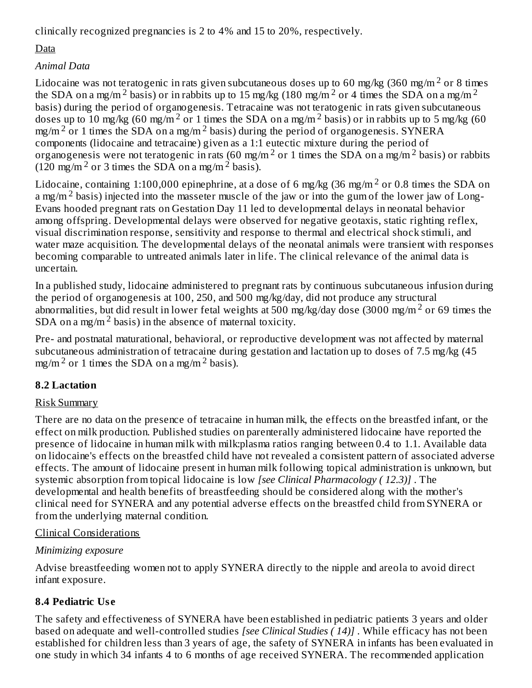clinically recognized pregnancies is 2 to 4% and 15 to 20%, respectively.

# Data

# *Animal Data*

Lidocaine was not teratogenic in rats given subcutaneous doses up to 60 mg/kg (360 mg/m  $^2$  or 8 times the SDA on a mg/m<sup>2</sup> basis) or in rabbits up to 15 mg/kg (180 mg/m<sup>2</sup> or 4 times the SDA on a mg/m<sup>2</sup> basis) during the period of organogenesis. Tetracaine was not teratogenic in rats given subcutaneous doses up to 10 mg/kg (60 mg/m<sup>2</sup> or 1 times the SDA on a mg/m<sup>2</sup> basis) or in rabbits up to 5 mg/kg (60 mg/m<sup>2</sup> or 1 times the SDA on a mg/m<sup>2</sup> basis) during the period of organogenesis. SYNERA components (lidocaine and tetracaine) given as a 1:1 eutectic mixture during the period of organogenesis were not teratogenic in rats (60 mg/m<sup>2</sup> or 1 times the SDA on a mg/m<sup>2</sup> basis) or rabbits (120 mg/m<sup>2</sup> or 3 times the SDA on a mg/m<sup>2</sup> basis).

Lidocaine, containing 1:100,000 epinephrine, at a dose of 6 mg/kg (36 mg/m<sup>2</sup> or 0.8 times the SDA on a mg/m<sup>2</sup> basis) injected into the masseter muscle of the jaw or into the gum of the lower jaw of Long-Evans hooded pregnant rats on Gestation Day 11 led to developmental delays in neonatal behavior among offspring. Developmental delays were observed for negative geotaxis, static righting reflex, visual discrimination response, sensitivity and response to thermal and electrical shock stimuli, and water maze acquisition. The developmental delays of the neonatal animals were transient with responses becoming comparable to untreated animals later in life. The clinical relevance of the animal data is uncertain.

In a published study, lidocaine administered to pregnant rats by continuous subcutaneous infusion during the period of organogenesis at 100, 250, and 500 mg/kg/day, did not produce any structural abnormalities, but did result in lower fetal weights at 500 mg/kg/day dose (3000 mg/m<sup>2</sup> or 69 times the SDA on a mg/m<sup>2</sup> basis) in the absence of maternal toxicity.

Pre- and postnatal maturational, behavioral, or reproductive development was not affected by maternal subcutaneous administration of tetracaine during gestation and lactation up to doses of 7.5 mg/kg (45 mg/m<sup>2</sup> or 1 times the SDA on a mg/m<sup>2</sup> basis).

### **8.2 Lactation**

### Risk Summary

There are no data on the presence of tetracaine in human milk, the effects on the breastfed infant, or the effect on milk production. Published studies on parenterally administered lidocaine have reported the presence of lidocaine in human milk with milk:plasma ratios ranging between 0.4 to 1.1. Available data on lidocaine's effects on the breastfed child have not revealed a consistent pattern of associated adverse effects. The amount of lidocaine present in human milk following topical administration is unknown, but systemic absorption from topical lidocaine is low *[see Clinical Pharmacology ( 12.3)]* . The developmental and health benefits of breastfeeding should be considered along with the mother's clinical need for SYNERA and any potential adverse effects on the breastfed child from SYNERA or from the underlying maternal condition.

### Clinical Considerations

# *Minimizing exposure*

Advise breastfeeding women not to apply SYNERA directly to the nipple and areola to avoid direct infant exposure.

# **8.4 Pediatric Us e**

The safety and effectiveness of SYNERA have been established in pediatric patients 3 years and older based on adequate and well-controlled studies *[see Clinical Studies ( 14)]* . While efficacy has not been established for children less than 3 years of age, the safety of SYNERA in infants has been evaluated in one study in which 34 infants 4 to 6 months of age received SYNERA. The recommended application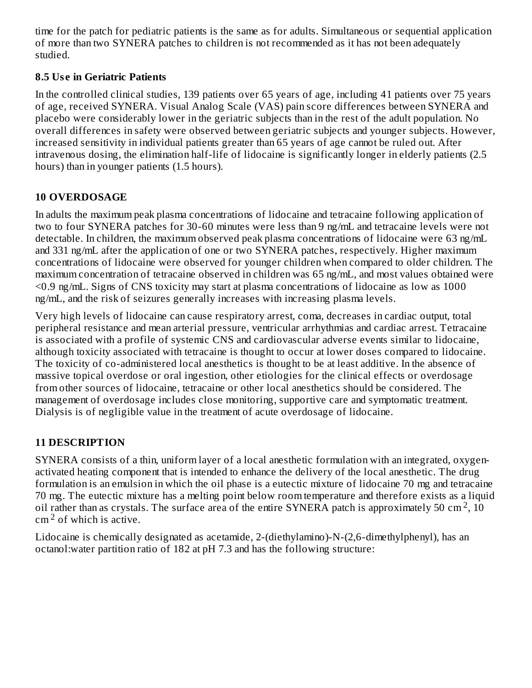time for the patch for pediatric patients is the same as for adults. Simultaneous or sequential application of more than two SYNERA patches to children is not recommended as it has not been adequately studied.

#### **8.5 Us e in Geriatric Patients**

In the controlled clinical studies, 139 patients over 65 years of age, including 41 patients over 75 years of age, received SYNERA. Visual Analog Scale (VAS) pain score differences between SYNERA and placebo were considerably lower in the geriatric subjects than in the rest of the adult population. No overall differences in safety were observed between geriatric subjects and younger subjects. However, increased sensitivity in individual patients greater than 65 years of age cannot be ruled out. After intravenous dosing, the elimination half-life of lidocaine is significantly longer in elderly patients (2.5 hours) than in younger patients (1.5 hours).

### **10 OVERDOSAGE**

In adults the maximum peak plasma concentrations of lidocaine and tetracaine following application of two to four SYNERA patches for 30-60 minutes were less than 9 ng/mL and tetracaine levels were not detectable. In children, the maximum observed peak plasma concentrations of lidocaine were 63 ng/mL and 331 ng/mL after the application of one or two SYNERA patches, respectively. Higher maximum concentrations of lidocaine were observed for younger children when compared to older children. The maximum concentration of tetracaine observed in children was 65 ng/mL, and most values obtained were <0.9 ng/mL. Signs of CNS toxicity may start at plasma concentrations of lidocaine as low as 1000 ng/mL, and the risk of seizures generally increases with increasing plasma levels.

Very high levels of lidocaine can cause respiratory arrest, coma, decreases in cardiac output, total peripheral resistance and mean arterial pressure, ventricular arrhythmias and cardiac arrest. Tetracaine is associated with a profile of systemic CNS and cardiovascular adverse events similar to lidocaine, although toxicity associated with tetracaine is thought to occur at lower doses compared to lidocaine. The toxicity of co-administered local anesthetics is thought to be at least additive. In the absence of massive topical overdose or oral ingestion, other etiologies for the clinical effects or overdosage from other sources of lidocaine, tetracaine or other local anesthetics should be considered. The management of overdosage includes close monitoring, supportive care and symptomatic treatment. Dialysis is of negligible value in the treatment of acute overdosage of lidocaine.

# **11 DESCRIPTION**

SYNERA consists of a thin, uniform layer of a local anesthetic formulation with an integrated, oxygenactivated heating component that is intended to enhance the delivery of the local anesthetic. The drug formulation is an emulsion in which the oil phase is a eutectic mixture of lidocaine 70 mg and tetracaine 70 mg. The eutectic mixture has a melting point below room temperature and therefore exists as a liquid oil rather than as crystals. The surface area of the entire SYNERA patch is approximately 50 cm<sup>2</sup>, 10  $cm<sup>2</sup>$  of which is active.

Lidocaine is chemically designated as acetamide, 2-(diethylamino)-N-(2,6-dimethylphenyl), has an octanol:water partition ratio of 182 at pH 7.3 and has the following structure: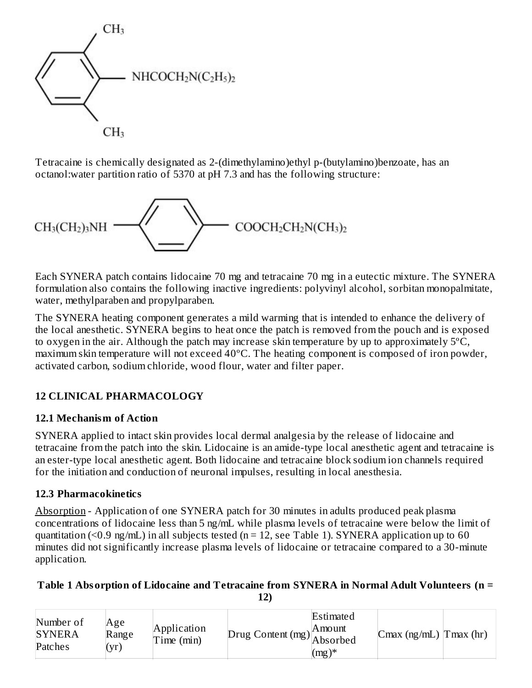

Tetracaine is chemically designated as 2-(dimethylamino)ethyl p-(butylamino)benzoate, has an octanol:water partition ratio of 5370 at pH 7.3 and has the following structure:



Each SYNERA patch contains lidocaine 70 mg and tetracaine 70 mg in a eutectic mixture. The SYNERA formulation also contains the following inactive ingredients: polyvinyl alcohol, sorbitan monopalmitate, water, methylparaben and propylparaben.

The SYNERA heating component generates a mild warming that is intended to enhance the delivery of the local anesthetic. SYNERA begins to heat once the patch is removed from the pouch and is exposed to oxygen in the air. Although the patch may increase skin temperature by up to approximately 5ºC, maximum skin temperature will not exceed 40ºC. The heating component is composed of iron powder, activated carbon, sodium chloride, wood flour, water and filter paper.

# **12 CLINICAL PHARMACOLOGY**

### **12.1 Mechanism of Action**

SYNERA applied to intact skin provides local dermal analgesia by the release of lidocaine and tetracaine from the patch into the skin. Lidocaine is an amide-type local anesthetic agent and tetracaine is an ester-type local anesthetic agent. Both lidocaine and tetracaine block sodium ion channels required for the initiation and conduction of neuronal impulses, resulting in local anesthesia.

### **12.3 Pharmacokinetics**

Absorption - Application of one SYNERA patch for 30 minutes in adults produced peak plasma concentrations of lidocaine less than 5 ng/mL while plasma levels of tetracaine were below the limit of quantitation (<0.9 ng/mL) in all subjects tested ( $n = 12$ , see Table 1). SYNERA application up to 60 minutes did not significantly increase plasma levels of lidocaine or tetracaine compared to a 30-minute application.

#### **Table 1 Absorption of Lidocaine and Tetracaine from SYNERA in Normal Adult Volunteers (n = 12)**

| Number of<br><b>SYNERA</b><br>Patches | Age<br>Range<br>(yr) | Application<br>Time (min) | $\therefore$ Drug Content (mg) Absorbed $\sim$ | Estimated<br>IA mount<br>$(mg)^*$ | $\lfloor$ Cmax (ng/mL) $\lfloor$ Tmax (hr) |  |
|---------------------------------------|----------------------|---------------------------|------------------------------------------------|-----------------------------------|--------------------------------------------|--|
|---------------------------------------|----------------------|---------------------------|------------------------------------------------|-----------------------------------|--------------------------------------------|--|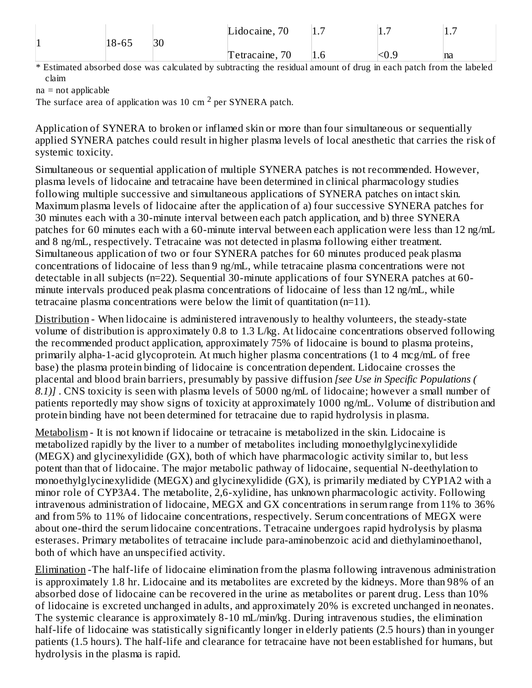|   | 18-65 | 30 | Lidocaine, 70     | -<br>1.7 | -<br>∣⊥., | -<br>. |
|---|-------|----|-------------------|----------|-----------|--------|
| ⊔ |       |    | 70<br>Tetracaine, | 1.0      | $\sim$ U. | na     |

\* Estimated absorbed dose was calculated by subtracting the residual amount of drug in each patch from the labeled claim

na = not applicable

The surface area of application was 10 cm  $^2$  per SYNERA patch.

Application of SYNERA to broken or inflamed skin or more than four simultaneous or sequentially applied SYNERA patches could result in higher plasma levels of local anesthetic that carries the risk of systemic toxicity.

Simultaneous or sequential application of multiple SYNERA patches is not recommended. However, plasma levels of lidocaine and tetracaine have been determined in clinical pharmacology studies following multiple successive and simultaneous applications of SYNERA patches on intact skin. Maximum plasma levels of lidocaine after the application of a) four successive SYNERA patches for 30 minutes each with a 30-minute interval between each patch application, and b) three SYNERA patches for 60 minutes each with a 60-minute interval between each application were less than 12 ng/mL and 8 ng/mL, respectively. Tetracaine was not detected in plasma following either treatment. Simultaneous application of two or four SYNERA patches for 60 minutes produced peak plasma concentrations of lidocaine of less than 9 ng/mL, while tetracaine plasma concentrations were not detectable in all subjects (n=22). Sequential 30-minute applications of four SYNERA patches at 60 minute intervals produced peak plasma concentrations of lidocaine of less than 12 ng/mL, while tetracaine plasma concentrations were below the limit of quantitation  $(n=11)$ .

Distribution - When lidocaine is administered intravenously to healthy volunteers, the steady-state volume of distribution is approximately 0.8 to 1.3 L/kg. At lidocaine concentrations observed following the recommended product application, approximately 75% of lidocaine is bound to plasma proteins, primarily alpha-1-acid glycoprotein. At much higher plasma concentrations (1 to 4 mcg/mL of free base) the plasma protein binding of lidocaine is concentration dependent. Lidocaine crosses the placental and blood brain barriers, presumably by passive diffusion *[see Use in Specific Populations ( 8.1)]* . CNS toxicity is seen with plasma levels of 5000 ng/mL of lidocaine; however a small number of patients reportedly may show signs of toxicity at approximately 1000 ng/mL. Volume of distribution and protein binding have not been determined for tetracaine due to rapid hydrolysis in plasma.

Metabolism - It is not known if lidocaine or tetracaine is metabolized in the skin. Lidocaine is metabolized rapidly by the liver to a number of metabolites including monoethylglycinexylidide (MEGX) and glycinexylidide (GX), both of which have pharmacologic activity similar to, but less potent than that of lidocaine. The major metabolic pathway of lidocaine, sequential N-deethylation to monoethylglycinexylidide (MEGX) and glycinexylidide (GX), is primarily mediated by CYP1A2 with a minor role of CYP3A4. The metabolite, 2,6-xylidine, has unknown pharmacologic activity. Following intravenous administration of lidocaine, MEGX and GX concentrations in serum range from 11% to 36% and from 5% to 11% of lidocaine concentrations, respectively. Serum concentrations of MEGX were about one-third the serum lidocaine concentrations. Tetracaine undergoes rapid hydrolysis by plasma esterases. Primary metabolites of tetracaine include para-aminobenzoic acid and diethylaminoethanol, both of which have an unspecified activity.

Elimination -The half-life of lidocaine elimination from the plasma following intravenous administration is approximately 1.8 hr. Lidocaine and its metabolites are excreted by the kidneys. More than 98% of an absorbed dose of lidocaine can be recovered in the urine as metabolites or parent drug. Less than 10% of lidocaine is excreted unchanged in adults, and approximately 20% is excreted unchanged in neonates. The systemic clearance is approximately 8-10 mL/min/kg. During intravenous studies, the elimination half-life of lidocaine was statistically significantly longer in elderly patients (2.5 hours) than in younger patients (1.5 hours). The half-life and clearance for tetracaine have not been established for humans, but hydrolysis in the plasma is rapid.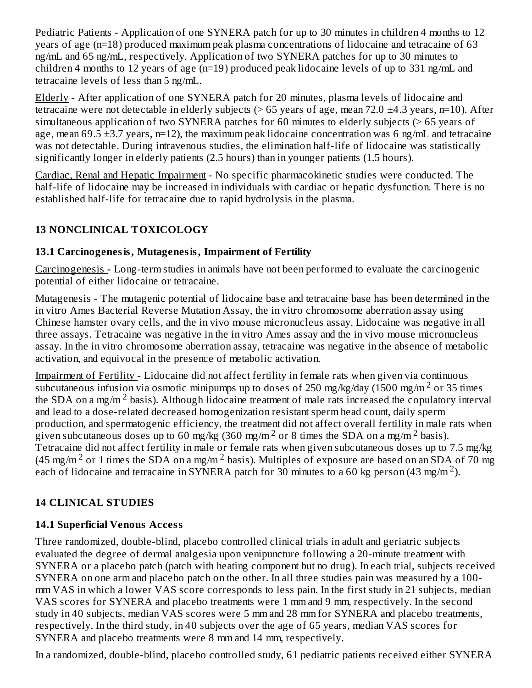Pediatric Patients - Application of one SYNERA patch for up to 30 minutes in children 4 months to 12 years of age (n=18) produced maximum peak plasma concentrations of lidocaine and tetracaine of 63 ng/mL and 65 ng/mL, respectively. Application of two SYNERA patches for up to 30 minutes to children 4 months to 12 years of age (n=19) produced peak lidocaine levels of up to 331 ng/mL and tetracaine levels of less than 5 ng/mL.

Elderly - After application of one SYNERA patch for 20 minutes, plasma levels of lidocaine and tetracaine were not detectable in elderly subjects ( $> 65$  years of age, mean 72.0  $\pm$ 4.3 years, n=10). After simultaneous application of two SYNERA patches for 60 minutes to elderly subjects (> 65 years of age, mean 69.5  $\pm$ 3.7 years, n=12), the maximum peak lidocaine concentration was 6 ng/mL and tetracaine was not detectable. During intravenous studies, the elimination half-life of lidocaine was statistically significantly longer in elderly patients (2.5 hours) than in younger patients (1.5 hours).

Cardiac, Renal and Hepatic Impairment - No specific pharmacokinetic studies were conducted. The half-life of lidocaine may be increased in individuals with cardiac or hepatic dysfunction. There is no established half-life for tetracaine due to rapid hydrolysis in the plasma.

# **13 NONCLINICAL TOXICOLOGY**

#### **13.1 Carcinogenesis, Mutagenesis, Impairment of Fertility**

Carcinogenesis **-** Long-term studies in animals have not been performed to evaluate the carcinogenic potential of either lidocaine or tetracaine.

Mutagenesis **-** The mutagenic potential of lidocaine base and tetracaine base has been determined in the in vitro Ames Bacterial Reverse Mutation Assay, the in vitro chromosome aberration assay using Chinese hamster ovary cells, and the in vivo mouse micronucleus assay. Lidocaine was negative in all three assays. Tetracaine was negative in the in vitro Ames assay and the in vivo mouse micronucleus assay. In the in vitro chromosome aberration assay, tetracaine was negative in the absence of metabolic activation, and equivocal in the presence of metabolic activation.

Impairment of Fertility **-** Lidocaine did not affect fertility in female rats when given via continuous subcutaneous infusion via osmotic minipumps up to doses of 250 mg/kg/day (1500 mg/m<sup>2</sup> or 35 times the SDA on a mg/m<sup>2</sup> basis). Although lidocaine treatment of male rats increased the copulatory interval and lead to a dose-related decreased homogenization resistant sperm head count, daily sperm production, and spermatogenic efficiency, the treatment did not affect overall fertility in male rats when given subcutaneous doses up to 60 mg/kg (360 mg/m<sup>2</sup> or 8 times the SDA on a mg/m<sup>2</sup> basis). Tetracaine did not affect fertility in male or female rats when given subcutaneous doses up to 7.5 mg/kg (45 mg/m<sup>2</sup> or 1 times the SDA on a mg/m<sup>2</sup> basis). Multiples of exposure are based on an SDA of 70 mg each of lidocaine and tetracaine in SYNERA patch for 30 minutes to a 60 kg person (43 mg/m<sup>2</sup>).

### **14 CLINICAL STUDIES**

### **14.1 Superficial Venous Access**

Three randomized, double-blind, placebo controlled clinical trials in adult and geriatric subjects evaluated the degree of dermal analgesia upon venipuncture following a 20-minute treatment with SYNERA or a placebo patch (patch with heating component but no drug). In each trial, subjects received SYNERA on one arm and placebo patch on the other. In all three studies pain was measured by a 100 mm VAS in which a lower VAS score corresponds to less pain. In the first study in 21 subjects, median VAS scores for SYNERA and placebo treatments were 1 mm and 9 mm, respectively. In the second study in 40 subjects, median VAS scores were 5 mm and 28 mm for SYNERA and placebo treatments, respectively. In the third study, in 40 subjects over the age of 65 years, median VAS scores for SYNERA and placebo treatments were 8 mm and 14 mm, respectively.

In a randomized, double-blind, placebo controlled study, 61 pediatric patients received either SYNERA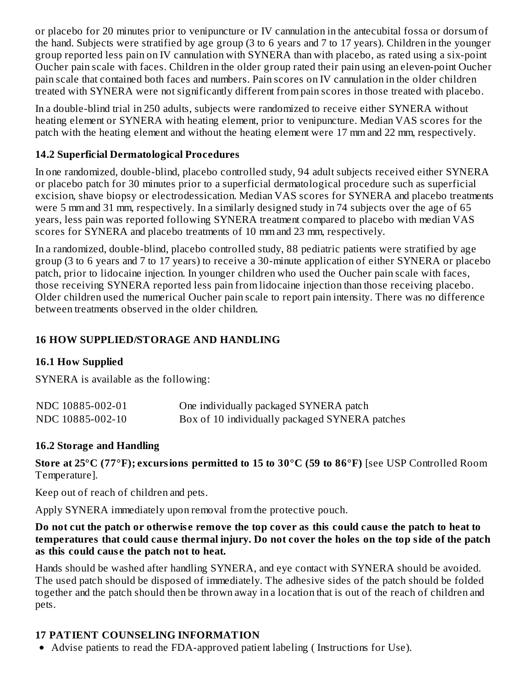or placebo for 20 minutes prior to venipuncture or IV cannulation in the antecubital fossa or dorsum of the hand. Subjects were stratified by age group (3 to 6 years and 7 to 17 years). Children in the younger group reported less pain on IV cannulation with SYNERA than with placebo, as rated using a six-point Oucher pain scale with faces. Children in the older group rated their pain using an eleven-point Oucher pain scale that contained both faces and numbers. Pain scores on IV cannulation in the older children treated with SYNERA were not significantly different from pain scores in those treated with placebo.

In a double-blind trial in 250 adults, subjects were randomized to receive either SYNERA without heating element or SYNERA with heating element, prior to venipuncture. Median VAS scores for the patch with the heating element and without the heating element were 17 mm and 22 mm, respectively.

#### **14.2 Superficial Dermatological Procedures**

In one randomized, double-blind, placebo controlled study, 94 adult subjects received either SYNERA or placebo patch for 30 minutes prior to a superficial dermatological procedure such as superficial excision, shave biopsy or electrodessication. Median VAS scores for SYNERA and placebo treatments were 5 mm and 31 mm, respectively. In a similarly designed study in 74 subjects over the age of 65 years, less pain was reported following SYNERA treatment compared to placebo with median VAS scores for SYNERA and placebo treatments of 10 mm and 23 mm, respectively.

In a randomized, double-blind, placebo controlled study, 88 pediatric patients were stratified by age group (3 to 6 years and 7 to 17 years) to receive a 30-minute application of either SYNERA or placebo patch, prior to lidocaine injection. In younger children who used the Oucher pain scale with faces, those receiving SYNERA reported less pain from lidocaine injection than those receiving placebo. Older children used the numerical Oucher pain scale to report pain intensity. There was no difference between treatments observed in the older children.

### **16 HOW SUPPLIED/STORAGE AND HANDLING**

#### **16.1 How Supplied**

SYNERA is available as the following:

| NDC 10885-002-01 | One individually packaged SYNERA patch         |
|------------------|------------------------------------------------|
| NDC 10885-002-10 | Box of 10 individually packaged SYNERA patches |

#### **16.2 Storage and Handling**

**Store at 25°C (77°F); excursions permitted to 15 to 30°C (59 to 86°F)** [see USP Controlled Room Temperature].

Keep out of reach of children and pets.

Apply SYNERA immediately upon removal from the protective pouch.

Do not cut the patch or otherwise remove the top cover as this could cause the patch to heat to temperatures that could cause thermal injury. Do not cover the holes on the top side of the patch **as this could caus e the patch not to heat.**

Hands should be washed after handling SYNERA, and eye contact with SYNERA should be avoided. The used patch should be disposed of immediately. The adhesive sides of the patch should be folded together and the patch should then be thrown away in a location that is out of the reach of children and pets.

### **17 PATIENT COUNSELING INFORMATION**

Advise patients to read the FDA-approved patient labeling ( Instructions for Use).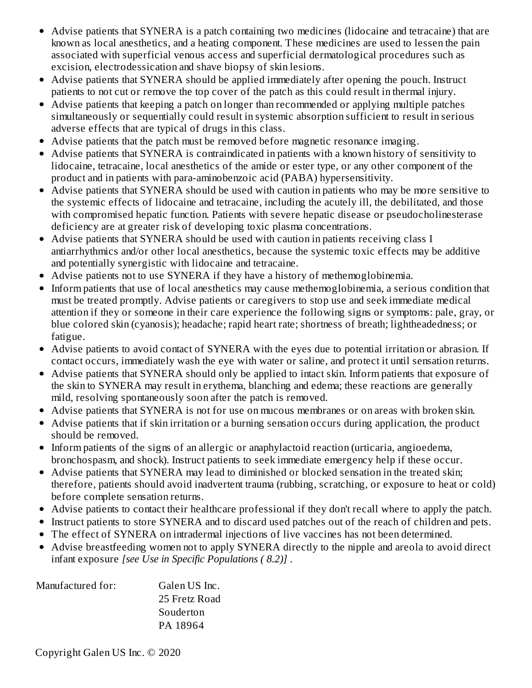- Advise patients that SYNERA is a patch containing two medicines (lidocaine and tetracaine) that are known as local anesthetics, and a heating component. These medicines are used to lessen the pain associated with superficial venous access and superficial dermatological procedures such as excision, electrodessication and shave biopsy of skin lesions.
- Advise patients that SYNERA should be applied immediately after opening the pouch. Instruct patients to not cut or remove the top cover of the patch as this could result in thermal injury.
- Advise patients that keeping a patch on longer than recommended or applying multiple patches simultaneously or sequentially could result in systemic absorption sufficient to result in serious adverse effects that are typical of drugs in this class.
- Advise patients that the patch must be removed before magnetic resonance imaging.
- Advise patients that SYNERA is contraindicated in patients with a known history of sensitivity to lidocaine, tetracaine, local anesthetics of the amide or ester type, or any other component of the product and in patients with para-aminobenzoic acid (PABA) hypersensitivity.
- Advise patients that SYNERA should be used with caution in patients who may be more sensitive to the systemic effects of lidocaine and tetracaine, including the acutely ill, the debilitated, and those with compromised hepatic function. Patients with severe hepatic disease or pseudocholinesterase deficiency are at greater risk of developing toxic plasma concentrations.
- Advise patients that SYNERA should be used with caution in patients receiving class I antiarrhythmics and/or other local anesthetics, because the systemic toxic effects may be additive and potentially synergistic with lidocaine and tetracaine.
- Advise patients not to use SYNERA if they have a history of methemoglobinemia.
- Inform patients that use of local anesthetics may cause methemoglobinemia, a serious condition that must be treated promptly. Advise patients or caregivers to stop use and seek immediate medical attention if they or someone in their care experience the following signs or symptoms: pale, gray, or blue colored skin (cyanosis); headache; rapid heart rate; shortness of breath; lightheadedness; or fatigue.
- Advise patients to avoid contact of SYNERA with the eyes due to potential irritation or abrasion. If contact occurs, immediately wash the eye with water or saline, and protect it until sensation returns.
- Advise patients that SYNERA should only be applied to intact skin. Inform patients that exposure of the skin to SYNERA may result in erythema, blanching and edema; these reactions are generally mild, resolving spontaneously soon after the patch is removed.
- Advise patients that SYNERA is not for use on mucous membranes or on areas with broken skin.
- Advise patients that if skin irritation or a burning sensation occurs during application, the product should be removed.
- Inform patients of the signs of an allergic or anaphylactoid reaction (urticaria, angioedema, bronchospasm, and shock). Instruct patients to seek immediate emergency help if these occur.
- Advise patients that SYNERA may lead to diminished or blocked sensation in the treated skin; therefore, patients should avoid inadvertent trauma (rubbing, scratching, or exposure to heat or cold) before complete sensation returns.
- Advise patients to contact their healthcare professional if they don't recall where to apply the patch.
- Instruct patients to store SYNERA and to discard used patches out of the reach of children and pets.
- The effect of SYNERA on intradermal injections of live vaccines has not been determined.
- Advise breastfeeding women not to apply SYNERA directly to the nipple and areola to avoid direct infant exposure *[see Use in Specific Populations ( 8.2)]* .

| Manufactured for: | Galen US Inc. |
|-------------------|---------------|
|                   | 25 Fretz Road |
|                   | Souderton     |
|                   | PA 18964      |

Copyright Galen US Inc. © 2020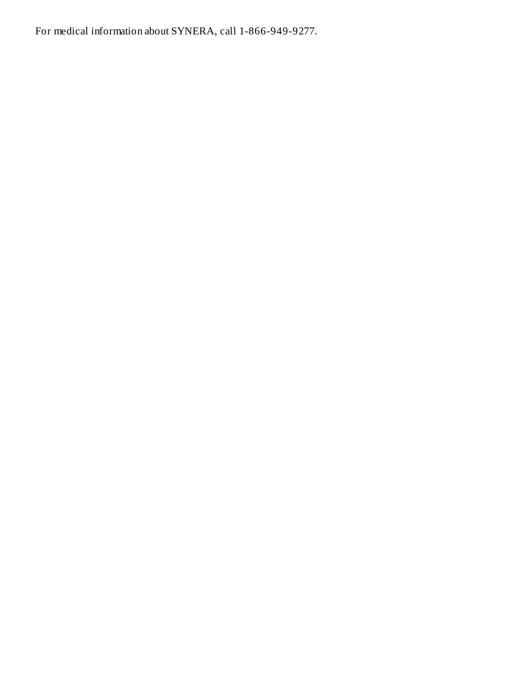For medical information about SYNERA, call 1-866-949-9277.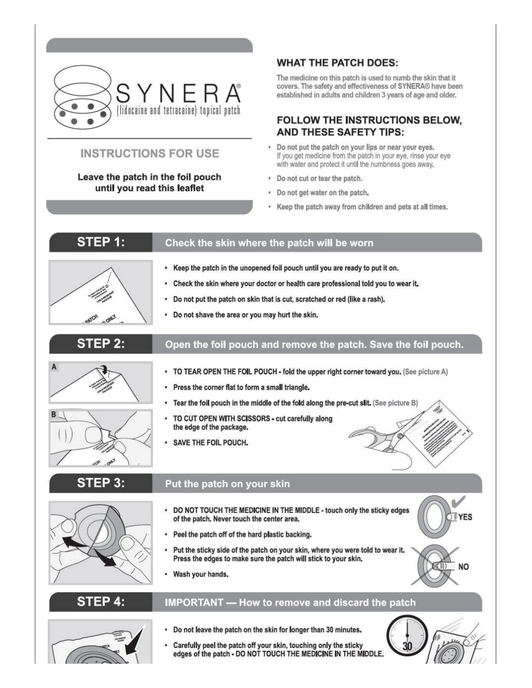

# **INSTRUCTIONS FOR USE**

#### Leave the patch in the foil pouch until you read this leaflet

#### **WHAT THE PATCH DOES:**

The medicine on this patch is used to numb the skin that it covers. The safety and effectiveness of SYNERA® have been established in adults and children 3 years of age and older.

#### **FOLLOW THE INSTRUCTIONS BELOW. AND THESE SAFETY TIPS:**

- Do not put the patch on your lips or near your eyes. If you get medicine from the patch in your eye, rinse your eye with water and protect it until the numbness goes away.
- Do not cut or tear the patch.
- Do not get water on the patch.
- . Keep the patch away from children and pets at all times.

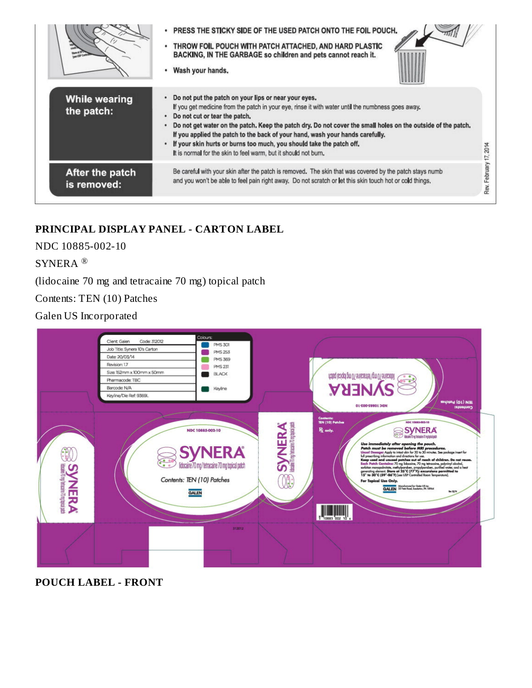|                                    | PRESS THE STICKY SIDE OF THE USED PATCH ONTO THE FOIL POUCH.<br>THROW FOIL POUCH WITH PATCH ATTACHED, AND HARD PLASTIC<br>BACKING, IN THE GARBAGE so children and pets cannot reach it.<br>Wash your hands.                                                                                                                                                                                                                                                                                                                                        |
|------------------------------------|----------------------------------------------------------------------------------------------------------------------------------------------------------------------------------------------------------------------------------------------------------------------------------------------------------------------------------------------------------------------------------------------------------------------------------------------------------------------------------------------------------------------------------------------------|
| <b>While wearing</b><br>the patch: | Do not put the patch on your lips or near your eyes.<br>If you get medicine from the patch in your eye, rinse it with water until the numbness goes away.<br>Do not cut or tear the patch,<br>Do not get water on the patch. Keep the patch dry. Do not cover the small holes on the outside of the patch.<br>If you applied the patch to the back of your hand, wash your hands carefully.<br>If your skin hurts or burns too much, you should take the patch off.<br>17, 2014<br>It is normal for the skin to feel warm, but it should not burn. |
| After the patch<br>is removed:     | Rev. February<br>Be careful with your skin after the patch is removed. The skin that was covered by the patch stays numb<br>and you won't be able to feel pain right away. Do not scratch or let this skin touch hot or cold things.                                                                                                                                                                                                                                                                                                               |

# **PRINCIPAL DISPLAY PANEL - CARTON LABEL**

NDC 10885-002-10

SYNERA ®

(lidocaine 70 mg and tetracaine 70 mg) topical patch

Contents: TEN (10) Patches

Galen US Incorporated



**POUCH LABEL - FRONT**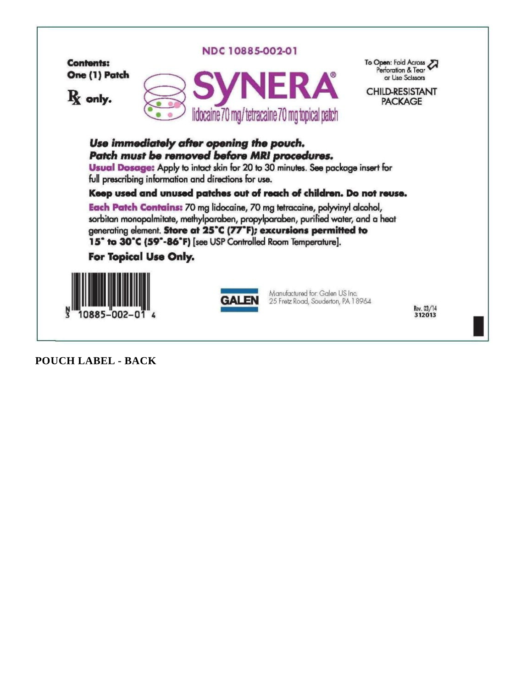

**POUCH LABEL - BACK**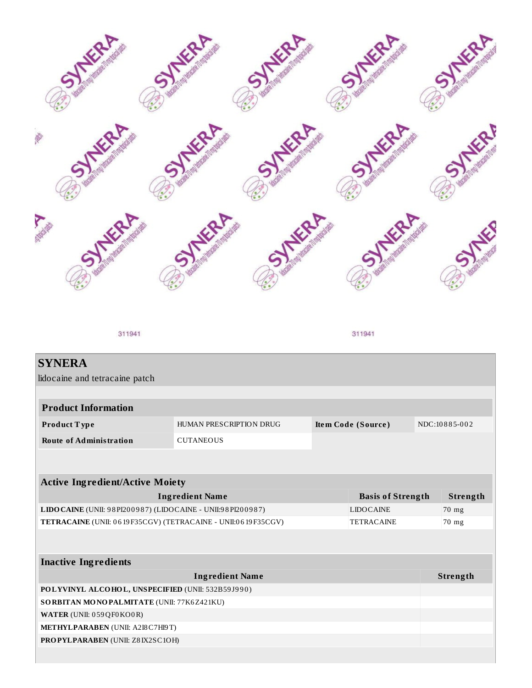

311941

311941

| <b>SYNERA</b>                                                                     |                         |  |                          |       |               |  |
|-----------------------------------------------------------------------------------|-------------------------|--|--------------------------|-------|---------------|--|
| lidocaine and tetracaine patch                                                    |                         |  |                          |       |               |  |
|                                                                                   |                         |  |                          |       |               |  |
| <b>Product Information</b>                                                        |                         |  |                          |       |               |  |
| Product Type                                                                      | HUMAN PRESCRIPTION DRUG |  | Item Code (Source)       |       | NDC:10885-002 |  |
| <b>Route of Administration</b>                                                    | <b>CUTANEOUS</b>        |  |                          |       |               |  |
|                                                                                   |                         |  |                          |       |               |  |
|                                                                                   |                         |  |                          |       |               |  |
| <b>Active Ingredient/Active Moiety</b>                                            |                         |  |                          |       |               |  |
| <b>Ingredient Name</b>                                                            |                         |  | <b>Basis of Strength</b> |       | Strength      |  |
| LIDO CAINE (UNII: 98 PI200987) (LIDO CAINE - UNII: 98 PI200987)                   |                         |  | <b>LIDOCAINE</b>         |       | 70 mg         |  |
| TETRACAINE (UNII: 0619F35CGV) (TETRACAINE - UNII:0619F35CGV)<br><b>TETRACAINE</b> |                         |  |                          | 70 mg |               |  |
|                                                                                   |                         |  |                          |       |               |  |
|                                                                                   |                         |  |                          |       |               |  |
| <b>Inactive Ingredients</b>                                                       |                         |  |                          |       |               |  |
|                                                                                   | <b>Ingredient Name</b>  |  |                          |       | Strength      |  |
| POLYVINYL ALCOHOL, UNSPECIFIED (UNII: 532B59J990)                                 |                         |  |                          |       |               |  |
| SORBITAN MONOPALMITATE (UNII: 77K6Z421KU)                                         |                         |  |                          |       |               |  |
| WATER (UNII: 059QF0KO0R)                                                          |                         |  |                          |       |               |  |
| METHYLPARABEN (UNII: A2I8C7H19T)                                                  |                         |  |                          |       |               |  |
| PROPYLPARABEN (UNII: Z8IX2SC1OH)                                                  |                         |  |                          |       |               |  |
|                                                                                   |                         |  |                          |       |               |  |